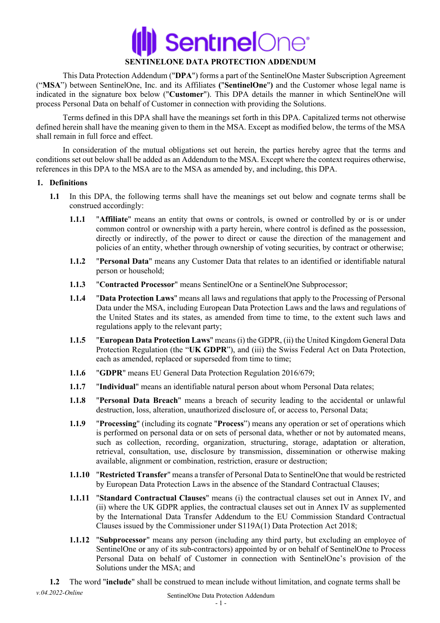

# **SENTINELONE DATA PROTECTION ADDENDUM**

This Data Protection Addendum ("**DPA**") forms a part of the SentinelOne Master Subscription Agreement ("**MSA**") between SentinelOne, Inc. and its Affiliates **(**"**SentinelOne**"**)** and the Customer whose legal name is indicated in the signature box below ("**Customer**"). This DPA details the manner in which SentinelOne will process Personal Data on behalf of Customer in connection with providing the Solutions.

Terms defined in this DPA shall have the meanings set forth in this DPA. Capitalized terms not otherwise defined herein shall have the meaning given to them in the MSA. Except as modified below, the terms of the MSA shall remain in full force and effect.

In consideration of the mutual obligations set out herein, the parties hereby agree that the terms and conditions set out below shall be added as an Addendum to the MSA. Except where the context requires otherwise, references in this DPA to the MSA are to the MSA as amended by, and including, this DPA.

#### **1. Definitions**

- **1.1** In this DPA, the following terms shall have the meanings set out below and cognate terms shall be construed accordingly:
	- **1.1.1** "**Affiliate**" means an entity that owns or controls, is owned or controlled by or is or under common control or ownership with a party herein, where control is defined as the possession, directly or indirectly, of the power to direct or cause the direction of the management and policies of an entity, whether through ownership of voting securities, by contract or otherwise;
	- **1.1.2** "**Personal Data**" means any Customer Data that relates to an identified or identifiable natural person or household;
	- **1.1.3** "**Contracted Processor**" means SentinelOne or a SentinelOne Subprocessor;
	- **1.1.4** "**Data Protection Laws**" means all laws and regulations that apply to the Processing of Personal Data under the MSA, including European Data Protection Laws and the laws and regulations of the United States and its states, as amended from time to time, to the extent such laws and regulations apply to the relevant party;
	- **1.1.5** "**European Data Protection Laws**" means (i) the GDPR, (ii) the United Kingdom General Data Protection Regulation (the "**UK GDPR**"), and (iii) the Swiss Federal Act on Data Protection, each as amended, replaced or superseded from time to time;
	- **1.1.6** "**GDPR**" means EU General Data Protection Regulation 2016/679;
	- **1.1.7** "**Individual**" means an identifiable natural person about whom Personal Data relates;
	- **1.1.8** "**Personal Data Breach**" means a breach of security leading to the accidental or unlawful destruction, loss, alteration, unauthorized disclosure of, or access to, Personal Data;
	- **1.1.9** "**Processing**" (including its cognate "**Process**") means any operation or set of operations which is performed on personal data or on sets of personal data, whether or not by automated means, such as collection, recording, organization, structuring, storage, adaptation or alteration, retrieval, consultation, use, disclosure by transmission, dissemination or otherwise making available, alignment or combination, restriction, erasure or destruction;
	- **1.1.10** "**Restricted Transfer**" means a transfer of Personal Data to SentinelOne that would be restricted by European Data Protection Laws in the absence of the Standard Contractual Clauses;
	- **1.1.11** "**Standard Contractual Clauses**" means (i) the contractual clauses set out in Annex IV, and (ii) where the UK GDPR applies, the contractual clauses set out in Annex IV as supplemented by the International Data Transfer Addendum to the EU Commission Standard Contractual Clauses issued by the Commissioner under S119A(1) Data Protection Act 2018;
	- **1.1.12** "**Subprocessor**" means any person (including any third party, but excluding an employee of SentinelOne or any of its sub-contractors) appointed by or on behalf of SentinelOne to Process Personal Data on behalf of Customer in connection with SentinelOne's provision of the Solutions under the MSA; and
- *v.04.2022-Online* SentinelOne Data Protection Addendum **1.2** The word "**include**" shall be construed to mean include without limitation, and cognate terms shall be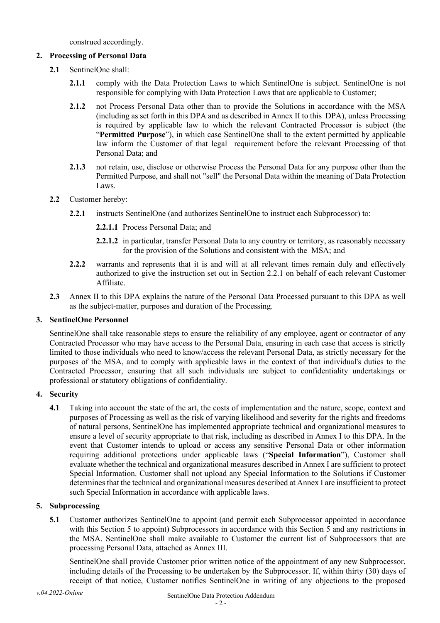construed accordingly.

### **2. Processing of Personal Data**

- **2.1** SentinelOne shall:
	- **2.1.1** comply with the Data Protection Laws to which SentinelOne is subject. SentinelOne is not responsible for complying with Data Protection Laws that are applicable to Customer;
	- **2.1.2** not Process Personal Data other than to provide the Solutions in accordance with the MSA (including as set forth in this DPA and as described in Annex II to this DPA), unless Processing is required by applicable law to which the relevant Contracted Processor is subject (the "**Permitted Purpose**"), in which case SentinelOne shall to the extent permitted by applicable law inform the Customer of that legal requirement before the relevant Processing of that Personal Data; and
	- **2.1.3** not retain, use, disclose or otherwise Process the Personal Data for any purpose other than the Permitted Purpose, and shall not "sell" the Personal Data within the meaning of Data Protection Laws.
- **2.2** Customer hereby:
	- **2.2.1** instructs SentinelOne (and authorizes SentinelOne to instruct each Subprocessor) to:
		- **2.2.1.1** Process Personal Data; and
		- **2.2.1.2** in particular, transfer Personal Data to any country or territory, as reasonably necessary for the provision of the Solutions and consistent with the MSA; and
	- **2.2.2** warrants and represents that it is and will at all relevant times remain duly and effectively authorized to give the instruction set out in Section 2.2.1 on behalf of each relevant Customer Affiliate.
- **2.3** Annex II to this DPA explains the nature of the Personal Data Processed pursuant to this DPA as well as the subject-matter, purposes and duration of the Processing.

#### **3. SentinelOne Personnel**

SentinelOne shall take reasonable steps to ensure the reliability of any employee, agent or contractor of any Contracted Processor who may have access to the Personal Data, ensuring in each case that access is strictly limited to those individuals who need to know/access the relevant Personal Data, as strictly necessary for the purposes of the MSA, and to comply with applicable laws in the context of that individual's duties to the Contracted Processor, ensuring that all such individuals are subject to confidentiality undertakings or professional or statutory obligations of confidentiality.

### **4. Security**

**4.1** Taking into account the state of the art, the costs of implementation and the nature, scope, context and purposes of Processing as well as the risk of varying likelihood and severity for the rights and freedoms of natural persons, SentinelOne has implemented appropriate technical and organizational measures to ensure a level of security appropriate to that risk, including as described in Annex I to this DPA. In the event that Customer intends to upload or access any sensitive Personal Data or other information requiring additional protections under applicable laws ("**Special Information**"), Customer shall evaluate whether the technical and organizational measures described in Annex I are sufficient to protect Special Information. Customer shall not upload any Special Information to the Solutions if Customer determines that the technical and organizational measures described at Annex I are insufficient to protect such Special Information in accordance with applicable laws.

### **5. Subprocessing**

**5.1** Customer authorizes SentinelOne to appoint (and permit each Subprocessor appointed in accordance with this Section 5 to appoint) Subprocessors in accordance with this Section 5 and any restrictions in the MSA. SentinelOne shall make available to Customer the current list of Subprocessors that are processing Personal Data, attached as Annex III.

SentinelOne shall provide Customer prior written notice of the appointment of any new Subprocessor, including details of the Processing to be undertaken by the Subprocessor. If, within thirty (30) days of receipt of that notice, Customer notifies SentinelOne in writing of any objections to the proposed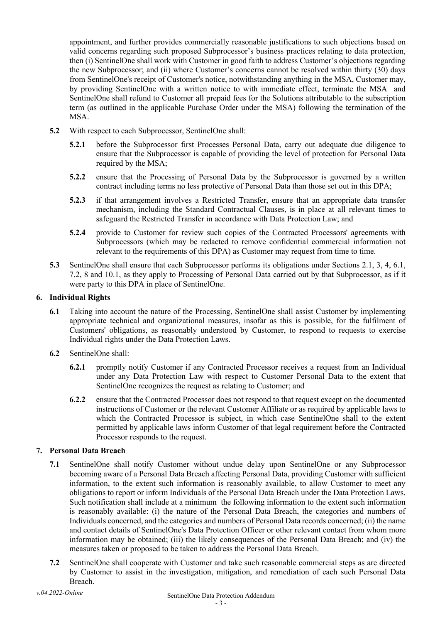appointment, and further provides commercially reasonable justifications to such objections based on valid concerns regarding such proposed Subprocessor's business practices relating to data protection, then (i) SentinelOne shall work with Customer in good faith to address Customer's objections regarding the new Subprocessor; and (ii) where Customer's concerns cannot be resolved within thirty (30) days from SentinelOne's receipt of Customer's notice, notwithstanding anything in the MSA, Customer may, by providing SentinelOne with a written notice to with immediate effect, terminate the MSA and SentinelOne shall refund to Customer all prepaid fees for the Solutions attributable to the subscription term (as outlined in the applicable Purchase Order under the MSA) following the termination of the MSA.

- **5.2** With respect to each Subprocessor, SentinelOne shall:
	- **5.2.1** before the Subprocessor first Processes Personal Data, carry out adequate due diligence to ensure that the Subprocessor is capable of providing the level of protection for Personal Data required by the MSA;
	- **5.2.2** ensure that the Processing of Personal Data by the Subprocessor is governed by a written contract including terms no less protective of Personal Data than those set out in this DPA;
	- **5.2.3** if that arrangement involves a Restricted Transfer, ensure that an appropriate data transfer mechanism, including the Standard Contractual Clauses, is in place at all relevant times to safeguard the Restricted Transfer in accordance with Data Protection Law; and
	- **5.2.4** provide to Customer for review such copies of the Contracted Processors' agreements with Subprocessors (which may be redacted to remove confidential commercial information not relevant to the requirements of this DPA) as Customer may request from time to time.
- **5.3** SentinelOne shall ensure that each Subprocessor performs its obligations under Sections 2.1, 3, 4, 6.1, 7.2, 8 and 10.1, as they apply to Processing of Personal Data carried out by that Subprocessor, as if it were party to this DPA in place of SentinelOne.

### **6. Individual Rights**

- **6.1** Taking into account the nature of the Processing, SentinelOne shall assist Customer by implementing appropriate technical and organizational measures, insofar as this is possible, for the fulfilment of Customers' obligations, as reasonably understood by Customer, to respond to requests to exercise Individual rights under the Data Protection Laws.
- **6.2** SentinelOne shall:
	- **6.2.1** promptly notify Customer if any Contracted Processor receives a request from an Individual under any Data Protection Law with respect to Customer Personal Data to the extent that SentinelOne recognizes the request as relating to Customer; and
	- **6.2.2** ensure that the Contracted Processor does not respond to that request except on the documented instructions of Customer or the relevant Customer Affiliate or as required by applicable laws to which the Contracted Processor is subject, in which case SentinelOne shall to the extent permitted by applicable laws inform Customer of that legal requirement before the Contracted Processor responds to the request.

#### **7. Personal Data Breach**

- **7.1** SentinelOne shall notify Customer without undue delay upon SentinelOne or any Subprocessor becoming aware of a Personal Data Breach affecting Personal Data, providing Customer with sufficient information, to the extent such information is reasonably available, to allow Customer to meet any obligations to report or inform Individuals of the Personal Data Breach under the Data Protection Laws. Such notification shall include at a minimum the following information to the extent such information is reasonably available: (i) the nature of the Personal Data Breach, the categories and numbers of Individuals concerned, and the categories and numbers of Personal Data records concerned; (ii) the name and contact details of SentinelOne's Data Protection Officer or other relevant contact from whom more information may be obtained; (iii) the likely consequences of the Personal Data Breach; and (iv) the measures taken or proposed to be taken to address the Personal Data Breach.
- **7.2** SentinelOne shall cooperate with Customer and take such reasonable commercial steps as are directed by Customer to assist in the investigation, mitigation, and remediation of each such Personal Data Breach.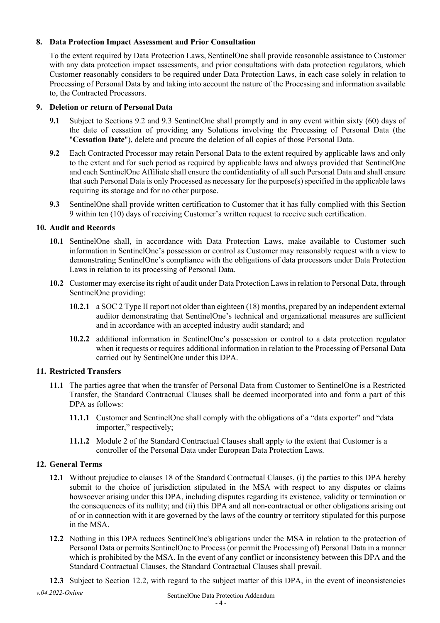### **8. Data Protection Impact Assessment and Prior Consultation**

To the extent required by Data Protection Laws, SentinelOne shall provide reasonable assistance to Customer with any data protection impact assessments, and prior consultations with data protection regulators, which Customer reasonably considers to be required under Data Protection Laws, in each case solely in relation to Processing of Personal Data by and taking into account the nature of the Processing and information available to, the Contracted Processors.

### **9. Deletion or return of Personal Data**

- **9.1** Subject to Sections 9.2 and 9.3 SentinelOne shall promptly and in any event within sixty (60) days of the date of cessation of providing any Solutions involving the Processing of Personal Data (the "**Cessation Date**"), delete and procure the deletion of all copies of those Personal Data.
- **9.2** Each Contracted Processor may retain Personal Data to the extent required by applicable laws and only to the extent and for such period as required by applicable laws and always provided that SentinelOne and each SentinelOne Affiliate shall ensure the confidentiality of all such Personal Data and shall ensure that such Personal Data is only Processed as necessary for the purpose(s) specified in the applicable laws requiring its storage and for no other purpose.
- **9.3** SentinelOne shall provide written certification to Customer that it has fully complied with this Section 9 within ten (10) days of receiving Customer's written request to receive such certification.

### **10. Audit and Records**

- **10.1** SentinelOne shall, in accordance with Data Protection Laws, make available to Customer such information in SentinelOne's possession or control as Customer may reasonably request with a view to demonstrating SentinelOne's compliance with the obligations of data processors under Data Protection Laws in relation to its processing of Personal Data.
- **10.2** Customer may exercise its right of audit under Data Protection Laws in relation to Personal Data, through SentinelOne providing:
	- **10.2.1** a SOC 2 Type II report not older than eighteen (18) months, prepared by an independent external auditor demonstrating that SentinelOne's technical and organizational measures are sufficient and in accordance with an accepted industry audit standard; and
	- **10.2.2** additional information in SentinelOne's possession or control to a data protection regulator when it requests or requires additional information in relation to the Processing of Personal Data carried out by SentinelOne under this DPA.

# **11. Restricted Transfers**

- **11.1** The parties agree that when the transfer of Personal Data from Customer to SentinelOne is a Restricted Transfer, the Standard Contractual Clauses shall be deemed incorporated into and form a part of this DPA as follows:
	- **11.1.1** Customer and SentinelOne shall comply with the obligations of a "data exporter" and "data importer," respectively;
	- **11.1.2** Module 2 of the Standard Contractual Clauses shall apply to the extent that Customer is a controller of the Personal Data under European Data Protection Laws.

#### **12. General Terms**

- **12.1** Without prejudice to clauses 18 of the Standard Contractual Clauses, (i) the parties to this DPA hereby submit to the choice of jurisdiction stipulated in the MSA with respect to any disputes or claims howsoever arising under this DPA, including disputes regarding its existence, validity or termination or the consequences of its nullity; and (ii) this DPA and all non-contractual or other obligations arising out of or in connection with it are governed by the laws of the country or territory stipulated for this purpose in the MSA.
- **12.2** Nothing in this DPA reduces SentinelOne's obligations under the MSA in relation to the protection of Personal Data or permits SentinelOne to Process (or permit the Processing of) Personal Data in a manner which is prohibited by the MSA. In the event of any conflict or inconsistency between this DPA and the Standard Contractual Clauses, the Standard Contractual Clauses shall prevail.
- **12.3** Subject to Section 12.2, with regard to the subject matter of this DPA, in the event of inconsistencies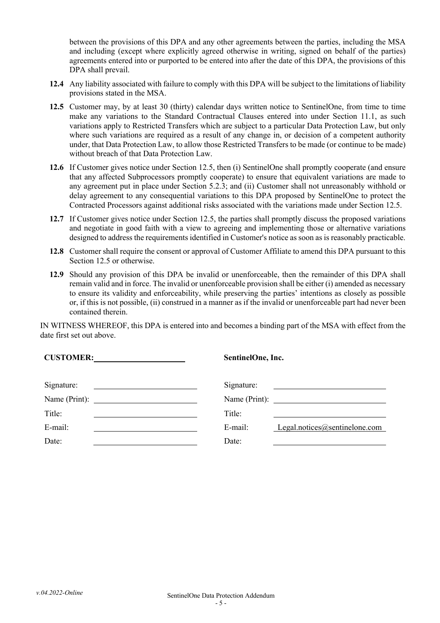between the provisions of this DPA and any other agreements between the parties, including the MSA and including (except where explicitly agreed otherwise in writing, signed on behalf of the parties) agreements entered into or purported to be entered into after the date of this DPA, the provisions of this DPA shall prevail.

- **12.4** Any liability associated with failure to comply with this DPA will be subject to the limitations of liability provisions stated in the MSA.
- **12.5** Customer may, by at least 30 (thirty) calendar days written notice to SentinelOne, from time to time make any variations to the Standard Contractual Clauses entered into under Section 11.1, as such variations apply to Restricted Transfers which are subject to a particular Data Protection Law, but only where such variations are required as a result of any change in, or decision of a competent authority under, that Data Protection Law, to allow those Restricted Transfers to be made (or continue to be made) without breach of that Data Protection Law.
- **12.6** If Customer gives notice under Section 12.5, then (i) SentinelOne shall promptly cooperate (and ensure that any affected Subprocessors promptly cooperate) to ensure that equivalent variations are made to any agreement put in place under Section 5.2.3; and (ii) Customer shall not unreasonably withhold or delay agreement to any consequential variations to this DPA proposed by SentinelOne to protect the Contracted Processors against additional risks associated with the variations made under Section 12.5.
- **12.7** If Customer gives notice under Section 12.5, the parties shall promptly discuss the proposed variations and negotiate in good faith with a view to agreeing and implementing those or alternative variations designed to address the requirements identified in Customer's notice as soon as is reasonably practicable.
- **12.8** Customer shall require the consent or approval of Customer Affiliate to amend this DPA pursuant to this Section 12.5 or otherwise.
- **12.9** Should any provision of this DPA be invalid or unenforceable, then the remainder of this DPA shall remain valid and in force. The invalid or unenforceable provision shall be either (i) amended as necessary to ensure its validity and enforceability, while preserving the parties' intentions as closely as possible or, if this is not possible, (ii) construed in a manner as if the invalid or unenforceable part had never been contained therein.

IN WITNESS WHEREOF, this DPA is entered into and becomes a binding part of the MSA with effect from the date first set out above.

| <b>CUSTOMER:</b> |                                                       | SentinelOne, Inc. |                                                 |
|------------------|-------------------------------------------------------|-------------------|-------------------------------------------------|
| Signature:       | <u> 1989 - Andrea Stadt Britain, fransk politik (</u> | Signature:        | <u> 1989 - Andrea Station Barbara (b. 1989)</u> |
|                  |                                                       |                   |                                                 |
| Title:           |                                                       | Title:            |                                                 |
| E-mail:          |                                                       | E-mail:           | $Legal.$ notices $@s$ entinelone.com            |
| Date:            |                                                       | Date:             |                                                 |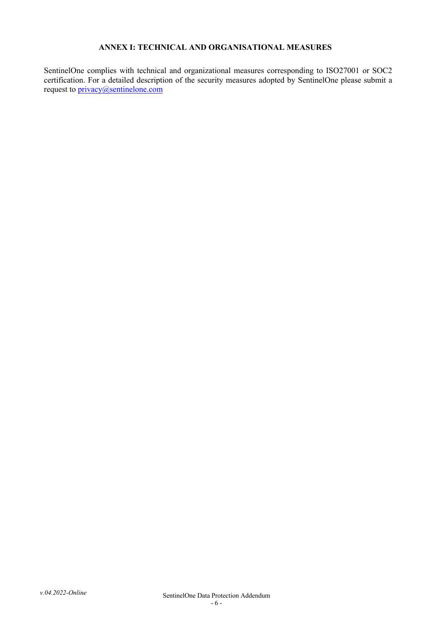# **ANNEX I: TECHNICAL AND ORGANISATIONAL MEASURES**

SentinelOne complies with technical and organizational measures corresponding to ISO27001 or SOC2 certification. For a detailed description of the security measures adopted by SentinelOne please submit a request to privacy@sentinelone.com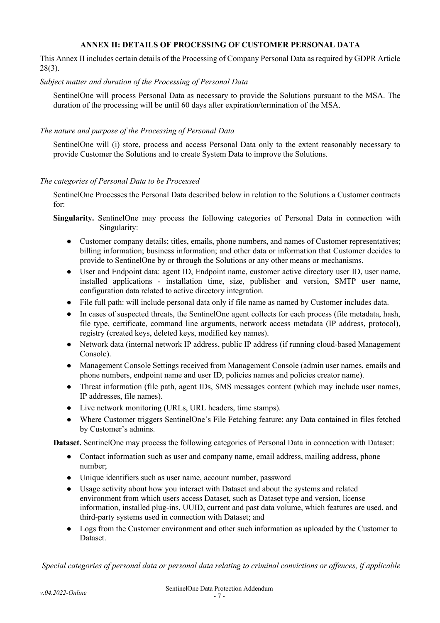# **ANNEX II: DETAILS OF PROCESSING OF CUSTOMER PERSONAL DATA**

This Annex II includes certain details of the Processing of Company Personal Data as required by GDPR Article 28(3).

### *Subject matter and duration of the Processing of Personal Data*

SentinelOne will process Personal Data as necessary to provide the Solutions pursuant to the MSA. The duration of the processing will be until 60 days after expiration/termination of the MSA.

### *The nature and purpose of the Processing of Personal Data*

SentinelOne will (i) store, process and access Personal Data only to the extent reasonably necessary to provide Customer the Solutions and to create System Data to improve the Solutions.

#### *The categories of Personal Data to be Processed*

SentinelOne Processes the Personal Data described below in relation to the Solutions a Customer contracts for:

**Singularity.** SentinelOne may process the following categories of Personal Data in connection with Singularity:

- Customer company details; titles, emails, phone numbers, and names of Customer representatives; billing information; business information; and other data or information that Customer decides to provide to SentinelOne by or through the Solutions or any other means or mechanisms.
- User and Endpoint data: agent ID, Endpoint name, customer active directory user ID, user name, installed applications - installation time, size, publisher and version, SMTP user name, configuration data related to active directory integration.
- File full path: will include personal data only if file name as named by Customer includes data.
- In cases of suspected threats, the SentinelOne agent collects for each process (file metadata, hash, file type, certificate, command line arguments, network access metadata (IP address, protocol), registry (created keys, deleted keys, modified key names).
- Network data (internal network IP address, public IP address (if running cloud-based Management Console).
- Management Console Settings received from Management Console (admin user names, emails and phone numbers, endpoint name and user ID, policies names and policies creator name).
- Threat information (file path, agent IDs, SMS messages content (which may include user names, IP addresses, file names).
- Live network monitoring (URLs, URL headers, time stamps).
- Where Customer triggers SentinelOne's File Fetching feature: any Data contained in files fetched by Customer's admins.

**Dataset.** SentinelOne may process the following categories of Personal Data in connection with Dataset:

- Contact information such as user and company name, email address, mailing address, phone number;
- Unique identifiers such as user name, account number, password
- Usage activity about how you interact with Dataset and about the systems and related environment from which users access Dataset, such as Dataset type and version, license information, installed plug-ins, UUID, current and past data volume, which features are used, and third-party systems used in connection with Dataset; and
- Logs from the Customer environment and other such information as uploaded by the Customer to Dataset.

*Special categories of personal data or personal data relating to criminal convictions or offences, if applicable*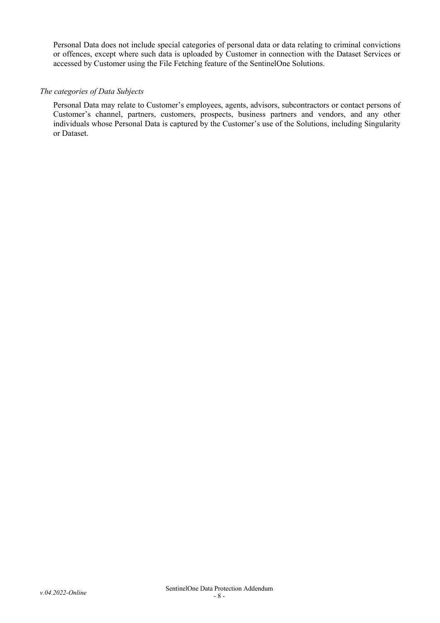Personal Data does not include special categories of personal data or data relating to criminal convictions or offences, except where such data is uploaded by Customer in connection with the Dataset Services or accessed by Customer using the File Fetching feature of the SentinelOne Solutions.

### *The categories of Data Subjects*

Personal Data may relate to Customer's employees, agents, advisors, subcontractors or contact persons of Customer's channel, partners, customers, prospects, business partners and vendors, and any other individuals whose Personal Data is captured by the Customer's use of the Solutions, including Singularity or Dataset.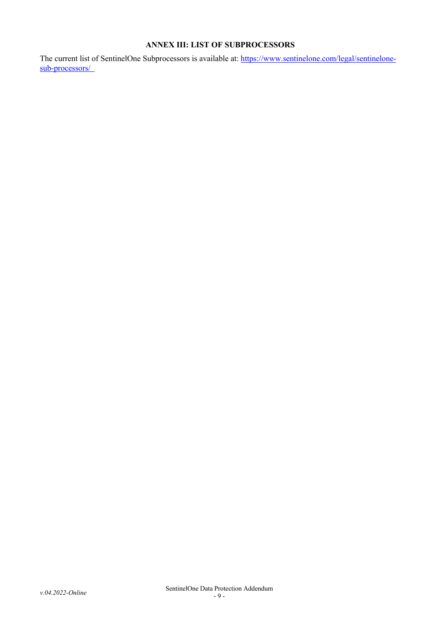# **ANNEX III: LIST OF SUBPROCESSORS**

The current list of SentinelOne Subprocessors is available at: https://www.sentinelone.com/legal/sentinelonesub-processors/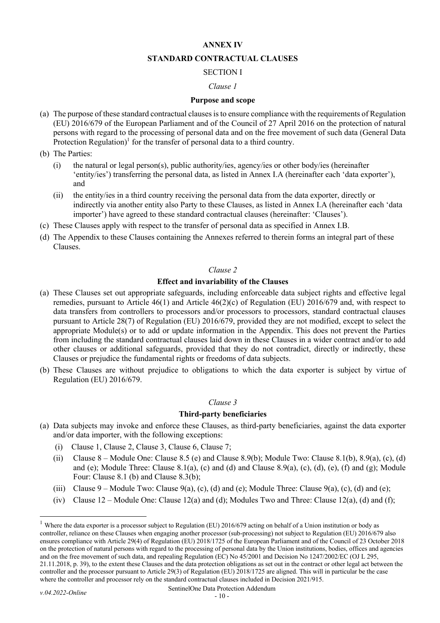### **ANNEX IV**

#### **STANDARD CONTRACTUAL CLAUSES**

#### SECTION I

#### *Clause 1*

#### **Purpose and scope**

- (a) The purpose of these standard contractual clauses is to ensure compliance with the requirements of Regulation (EU) 2016/679 of the European Parliament and of the Council of 27 April 2016 on the protection of natural persons with regard to the processing of personal data and on the free movement of such data (General Data Protection Regulation)<sup>1</sup> for the transfer of personal data to a third country.
- (b) The Parties:
	- (i) the natural or legal person(s), public authority/ies, agency/ies or other body/ies (hereinafter 'entity/ies') transferring the personal data, as listed in Annex I.A (hereinafter each 'data exporter'), and
	- (ii) the entity/ies in a third country receiving the personal data from the data exporter, directly or indirectly via another entity also Party to these Clauses, as listed in Annex I.A (hereinafter each 'data importer') have agreed to these standard contractual clauses (hereinafter: 'Clauses').
- (c) These Clauses apply with respect to the transfer of personal data as specified in Annex I.B.
- (d) The Appendix to these Clauses containing the Annexes referred to therein forms an integral part of these Clauses.

#### *Clause 2*

#### **Effect and invariability of the Clauses**

- (a) These Clauses set out appropriate safeguards, including enforceable data subject rights and effective legal remedies, pursuant to Article 46(1) and Article 46(2)(c) of Regulation (EU) 2016/679 and, with respect to data transfers from controllers to processors and/or processors to processors, standard contractual clauses pursuant to Article 28(7) of Regulation (EU) 2016/679, provided they are not modified, except to select the appropriate Module(s) or to add or update information in the Appendix. This does not prevent the Parties from including the standard contractual clauses laid down in these Clauses in a wider contract and/or to add other clauses or additional safeguards, provided that they do not contradict, directly or indirectly, these Clauses or prejudice the fundamental rights or freedoms of data subjects.
- (b) These Clauses are without prejudice to obligations to which the data exporter is subject by virtue of Regulation (EU) 2016/679.

### *Clause 3*

#### **Third-party beneficiaries**

- (a) Data subjects may invoke and enforce these Clauses, as third-party beneficiaries, against the data exporter and/or data importer, with the following exceptions:
	- (i) Clause 1, Clause 2, Clause 3, Clause 6, Clause 7;
	- (ii) Clause  $8 -$  Module One: Clause  $8.5$  (e) and Clause  $8.9(b)$ ; Module Two: Clause  $8.1(b)$ ,  $8.9(a)$ , (c), (d) and (e); Module Three: Clause 8.1(a), (c) and (d) and Clause 8.9(a), (c), (d), (e), (f) and (g); Module Four: Clause 8.1 (b) and Clause 8.3(b);
	- (iii) Clause  $9 -$  Module Two: Clause  $9(a)$ , (c), (d) and (e); Module Three: Clause  $9(a)$ , (c), (d) and (e);
	- (iv) Clause  $12 -$  Module One: Clause  $12(a)$  and (d); Modules Two and Three: Clause  $12(a)$ , (d) and (f);

<sup>&</sup>lt;sup>1</sup> Where the data exporter is a processor subject to Regulation (EU) 2016/679 acting on behalf of a Union institution or body as controller, reliance on these Clauses when engaging another processor (sub-processing) not subject to Regulation (EU) 2016/679 also ensures compliance with Article 29(4) of Regulation (EU) 2018/1725 of the European Parliament and of the Council of 23 October 2018 on the protection of natural persons with regard to the processing of personal data by the Union institutions, bodies, offices and agencies and on the free movement of such data, and repealing Regulation (EC) No 45/2001 and Decision No 1247/2002/EC (OJ L 295, 21.11.2018, p. 39), to the extent these Clauses and the data protection obligations as set out in the contract or other legal act between the controller and the processor pursuant to Article 29(3) of Regulation (EU) 2018/1725 are aligned. This will in particular be the case where the controller and processor rely on the standard contractual clauses included in Decision 2021/915.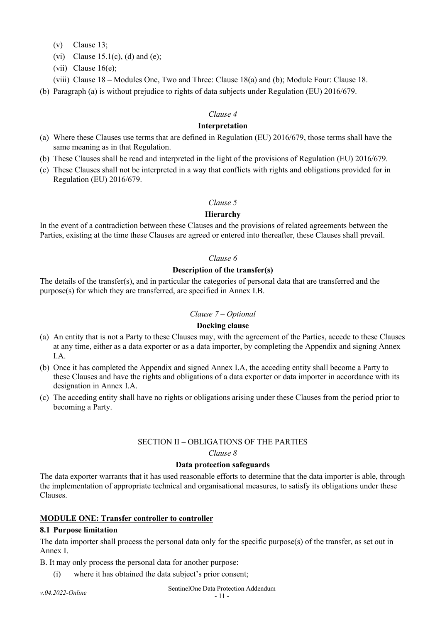- (v) Clause 13;
- (vi) Clause 15.1(c), (d) and (e);
- (vii) Clause 16(e);
- (viii) Clause 18 Modules One, Two and Three: Clause 18(a) and (b); Module Four: Clause 18.
- (b) Paragraph (a) is without prejudice to rights of data subjects under Regulation (EU) 2016/679.

# **Interpretation**

- (a) Where these Clauses use terms that are defined in Regulation (EU) 2016/679, those terms shall have the same meaning as in that Regulation.
- (b) These Clauses shall be read and interpreted in the light of the provisions of Regulation (EU) 2016/679.
- (c) These Clauses shall not be interpreted in a way that conflicts with rights and obligations provided for in Regulation (EU) 2016/679.

### *Clause 5*

### **Hierarchy**

In the event of a contradiction between these Clauses and the provisions of related agreements between the Parties, existing at the time these Clauses are agreed or entered into thereafter, these Clauses shall prevail.

# *Clause 6*

# **Description of the transfer(s)**

The details of the transfer(s), and in particular the categories of personal data that are transferred and the purpose(s) for which they are transferred, are specified in Annex I.B.

### *Clause 7 – Optional*

#### **Docking clause**

- (a) An entity that is not a Party to these Clauses may, with the agreement of the Parties, accede to these Clauses at any time, either as a data exporter or as a data importer, by completing the Appendix and signing Annex I.A.
- (b) Once it has completed the Appendix and signed Annex I.A, the acceding entity shall become a Party to these Clauses and have the rights and obligations of a data exporter or data importer in accordance with its designation in Annex I.A.
- (c) The acceding entity shall have no rights or obligations arising under these Clauses from the period prior to becoming a Party.

# SECTION II – OBLIGATIONS OF THE PARTIES

#### *Clause 8*

#### **Data protection safeguards**

The data exporter warrants that it has used reasonable efforts to determine that the data importer is able, through the implementation of appropriate technical and organisational measures, to satisfy its obligations under these Clauses.

# **MODULE ONE: Transfer controller to controller**

# **8.1 Purpose limitation**

The data importer shall process the personal data only for the specific purpose(s) of the transfer, as set out in Annex I.

B. It may only process the personal data for another purpose:

(i) where it has obtained the data subject's prior consent;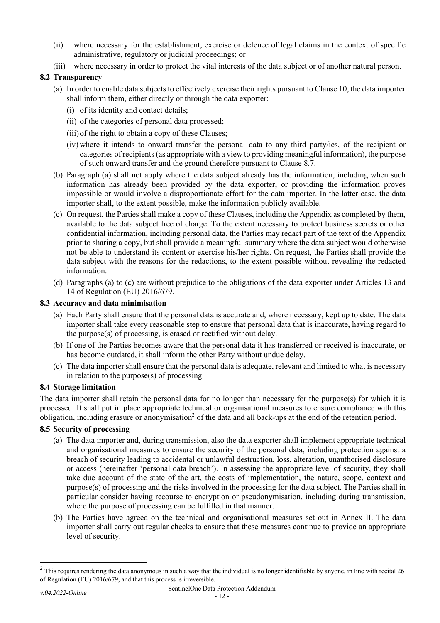- (ii) where necessary for the establishment, exercise or defence of legal claims in the context of specific administrative, regulatory or judicial proceedings; or
- (iii) where necessary in order to protect the vital interests of the data subject or of another natural person.

# **8.2 Transparency**

- (a) In order to enable data subjects to effectively exercise their rights pursuant to Clause 10, the data importer shall inform them, either directly or through the data exporter:
	- (i) of its identity and contact details;
	- (ii) of the categories of personal data processed;
	- (iii)of the right to obtain a copy of these Clauses;
	- (iv) where it intends to onward transfer the personal data to any third party/ies, of the recipient or categories of recipients (as appropriate with a view to providing meaningful information), the purpose of such onward transfer and the ground therefore pursuant to Clause 8.7.
- (b) Paragraph (a) shall not apply where the data subject already has the information, including when such information has already been provided by the data exporter, or providing the information proves impossible or would involve a disproportionate effort for the data importer. In the latter case, the data importer shall, to the extent possible, make the information publicly available.
- (c) On request, the Parties shall make a copy of these Clauses, including the Appendix as completed by them, available to the data subject free of charge. To the extent necessary to protect business secrets or other confidential information, including personal data, the Parties may redact part of the text of the Appendix prior to sharing a copy, but shall provide a meaningful summary where the data subject would otherwise not be able to understand its content or exercise his/her rights. On request, the Parties shall provide the data subject with the reasons for the redactions, to the extent possible without revealing the redacted information.
- (d) Paragraphs (a) to (c) are without prejudice to the obligations of the data exporter under Articles 13 and 14 of Regulation (EU) 2016/679.

### **8.3 Accuracy and data minimisation**

- (a) Each Party shall ensure that the personal data is accurate and, where necessary, kept up to date. The data importer shall take every reasonable step to ensure that personal data that is inaccurate, having regard to the purpose(s) of processing, is erased or rectified without delay.
- (b) If one of the Parties becomes aware that the personal data it has transferred or received is inaccurate, or has become outdated, it shall inform the other Party without undue delay.
- (c) The data importer shall ensure that the personal data is adequate, relevant and limited to what is necessary in relation to the purpose(s) of processing.

#### **8.4 Storage limitation**

The data importer shall retain the personal data for no longer than necessary for the purpose(s) for which it is processed. It shall put in place appropriate technical or organisational measures to ensure compliance with this obligation, including erasure or anonymisation<sup>2</sup> of the data and all back-ups at the end of the retention period.

# **8.5 Security of processing**

- (a) The data importer and, during transmission, also the data exporter shall implement appropriate technical and organisational measures to ensure the security of the personal data, including protection against a breach of security leading to accidental or unlawful destruction, loss, alteration, unauthorised disclosure or access (hereinafter 'personal data breach'). In assessing the appropriate level of security, they shall take due account of the state of the art, the costs of implementation, the nature, scope, context and purpose(s) of processing and the risks involved in the processing for the data subject. The Parties shall in particular consider having recourse to encryption or pseudonymisation, including during transmission, where the purpose of processing can be fulfilled in that manner.
- (b) The Parties have agreed on the technical and organisational measures set out in Annex II. The data importer shall carry out regular checks to ensure that these measures continue to provide an appropriate level of security.

This requires rendering the data anonymous in such a way that the individual is no longer identifiable by anyone, in line with recital 26 of Regulation (EU) 2016/679, and that this process is irreversible.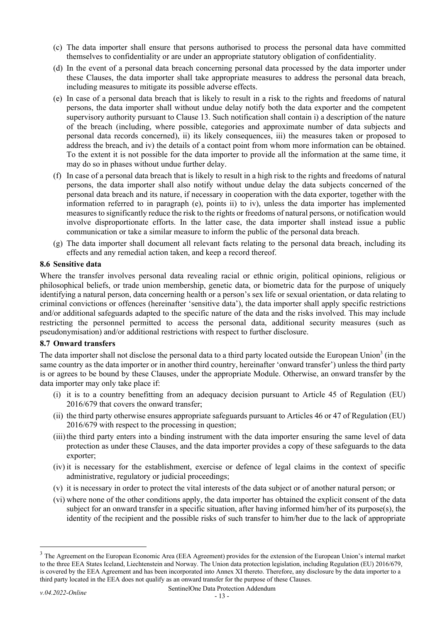- (c) The data importer shall ensure that persons authorised to process the personal data have committed themselves to confidentiality or are under an appropriate statutory obligation of confidentiality.
- (d) In the event of a personal data breach concerning personal data processed by the data importer under these Clauses, the data importer shall take appropriate measures to address the personal data breach, including measures to mitigate its possible adverse effects.
- (e) In case of a personal data breach that is likely to result in a risk to the rights and freedoms of natural persons, the data importer shall without undue delay notify both the data exporter and the competent supervisory authority pursuant to Clause 13. Such notification shall contain i) a description of the nature of the breach (including, where possible, categories and approximate number of data subjects and personal data records concerned), ii) its likely consequences, iii) the measures taken or proposed to address the breach, and iv) the details of a contact point from whom more information can be obtained. To the extent it is not possible for the data importer to provide all the information at the same time, it may do so in phases without undue further delay.
- (f) In case of a personal data breach that is likely to result in a high risk to the rights and freedoms of natural persons, the data importer shall also notify without undue delay the data subjects concerned of the personal data breach and its nature, if necessary in cooperation with the data exporter, together with the information referred to in paragraph (e), points ii) to iv), unless the data importer has implemented measures to significantly reduce the risk to the rights or freedoms of natural persons, or notification would involve disproportionate efforts. In the latter case, the data importer shall instead issue a public communication or take a similar measure to inform the public of the personal data breach.
- (g) The data importer shall document all relevant facts relating to the personal data breach, including its effects and any remedial action taken, and keep a record thereof.

### **8.6 Sensitive data**

Where the transfer involves personal data revealing racial or ethnic origin, political opinions, religious or philosophical beliefs, or trade union membership, genetic data, or biometric data for the purpose of uniquely identifying a natural person, data concerning health or a person's sex life or sexual orientation, or data relating to criminal convictions or offences (hereinafter 'sensitive data'), the data importer shall apply specific restrictions and/or additional safeguards adapted to the specific nature of the data and the risks involved. This may include restricting the personnel permitted to access the personal data, additional security measures (such as pseudonymisation) and/or additional restrictions with respect to further disclosure.

### **8.7 Onward transfers**

The data importer shall not disclose the personal data to a third party located outside the European Union<sup>3</sup> (in the same country as the data importer or in another third country, hereinafter 'onward transfer') unless the third party is or agrees to be bound by these Clauses, under the appropriate Module. Otherwise, an onward transfer by the data importer may only take place if:

- (i) it is to a country benefitting from an adequacy decision pursuant to Article 45 of Regulation (EU) 2016/679 that covers the onward transfer;
- (ii) the third party otherwise ensures appropriate safeguards pursuant to Articles 46 or 47 of Regulation (EU) 2016/679 with respect to the processing in question;
- (iii) the third party enters into a binding instrument with the data importer ensuring the same level of data protection as under these Clauses, and the data importer provides a copy of these safeguards to the data exporter;
- (iv) it is necessary for the establishment, exercise or defence of legal claims in the context of specific administrative, regulatory or judicial proceedings;
- (v) it is necessary in order to protect the vital interests of the data subject or of another natural person; or
- (vi) where none of the other conditions apply, the data importer has obtained the explicit consent of the data subject for an onward transfer in a specific situation, after having informed him/her of its purpose(s), the identity of the recipient and the possible risks of such transfer to him/her due to the lack of appropriate

<sup>&</sup>lt;sup>3</sup> The Agreement on the European Economic Area (EEA Agreement) provides for the extension of the European Union's internal market to the three EEA States Iceland, Liechtenstein and Norway. The Union data protection legislation, including Regulation (EU) 2016/679, is covered by the EEA Agreement and has been incorporated into Annex XI thereto. Therefore, any disclosure by the data importer to a third party located in the EEA does not qualify as an onward transfer for the purpose of these Clauses.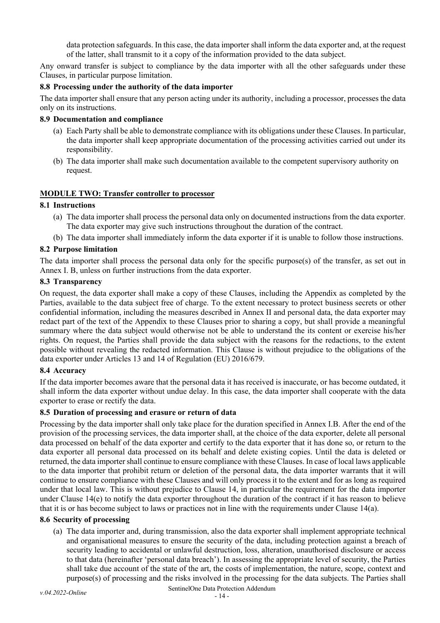data protection safeguards. In this case, the data importer shall inform the data exporter and, at the request of the latter, shall transmit to it a copy of the information provided to the data subject.

Any onward transfer is subject to compliance by the data importer with all the other safeguards under these Clauses, in particular purpose limitation.

### **8.8 Processing under the authority of the data importer**

The data importer shall ensure that any person acting under its authority, including a processor, processes the data only on its instructions.

### **8.9 Documentation and compliance**

- (a) Each Party shall be able to demonstrate compliance with its obligations under these Clauses. In particular, the data importer shall keep appropriate documentation of the processing activities carried out under its responsibility.
- (b) The data importer shall make such documentation available to the competent supervisory authority on request.

# **MODULE TWO: Transfer controller to processor**

### **8.1 Instructions**

- (a) The data importer shall process the personal data only on documented instructions from the data exporter. The data exporter may give such instructions throughout the duration of the contract.
- (b) The data importer shall immediately inform the data exporter if it is unable to follow those instructions.

### **8.2 Purpose limitation**

The data importer shall process the personal data only for the specific purpose(s) of the transfer, as set out in Annex I. B, unless on further instructions from the data exporter.

#### **8.3 Transparency**

On request, the data exporter shall make a copy of these Clauses, including the Appendix as completed by the Parties, available to the data subject free of charge. To the extent necessary to protect business secrets or other confidential information, including the measures described in Annex II and personal data, the data exporter may redact part of the text of the Appendix to these Clauses prior to sharing a copy, but shall provide a meaningful summary where the data subject would otherwise not be able to understand the its content or exercise his/her rights. On request, the Parties shall provide the data subject with the reasons for the redactions, to the extent possible without revealing the redacted information. This Clause is without prejudice to the obligations of the data exporter under Articles 13 and 14 of Regulation (EU) 2016/679.

#### **8.4 Accuracy**

If the data importer becomes aware that the personal data it has received is inaccurate, or has become outdated, it shall inform the data exporter without undue delay. In this case, the data importer shall cooperate with the data exporter to erase or rectify the data.

### **8.5 Duration of processing and erasure or return of data**

Processing by the data importer shall only take place for the duration specified in Annex I.B. After the end of the provision of the processing services, the data importer shall, at the choice of the data exporter, delete all personal data processed on behalf of the data exporter and certify to the data exporter that it has done so, or return to the data exporter all personal data processed on its behalf and delete existing copies. Until the data is deleted or returned, the data importer shall continue to ensure compliance with these Clauses. In case of local laws applicable to the data importer that prohibit return or deletion of the personal data, the data importer warrants that it will continue to ensure compliance with these Clauses and will only process it to the extent and for as long as required under that local law. This is without prejudice to Clause 14, in particular the requirement for the data importer under Clause 14(e) to notify the data exporter throughout the duration of the contract if it has reason to believe that it is or has become subject to laws or practices not in line with the requirements under Clause 14(a).

#### **8.6 Security of processing**

(a) The data importer and, during transmission, also the data exporter shall implement appropriate technical and organisational measures to ensure the security of the data, including protection against a breach of security leading to accidental or unlawful destruction, loss, alteration, unauthorised disclosure or access to that data (hereinafter 'personal data breach'). In assessing the appropriate level of security, the Parties shall take due account of the state of the art, the costs of implementation, the nature, scope, context and purpose(s) of processing and the risks involved in the processing for the data subjects. The Parties shall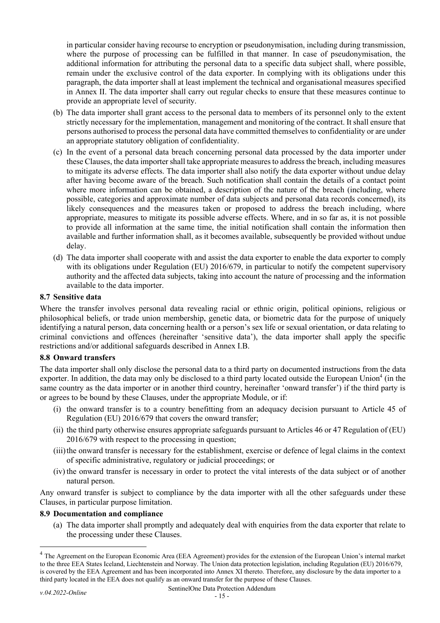in particular consider having recourse to encryption or pseudonymisation, including during transmission, where the purpose of processing can be fulfilled in that manner. In case of pseudonymisation, the additional information for attributing the personal data to a specific data subject shall, where possible, remain under the exclusive control of the data exporter. In complying with its obligations under this paragraph, the data importer shall at least implement the technical and organisational measures specified in Annex II. The data importer shall carry out regular checks to ensure that these measures continue to provide an appropriate level of security.

- (b) The data importer shall grant access to the personal data to members of its personnel only to the extent strictly necessary for the implementation, management and monitoring of the contract. It shall ensure that persons authorised to process the personal data have committed themselves to confidentiality or are under an appropriate statutory obligation of confidentiality.
- (c) In the event of a personal data breach concerning personal data processed by the data importer under these Clauses, the data importer shall take appropriate measures to address the breach, including measures to mitigate its adverse effects. The data importer shall also notify the data exporter without undue delay after having become aware of the breach. Such notification shall contain the details of a contact point where more information can be obtained, a description of the nature of the breach (including, where possible, categories and approximate number of data subjects and personal data records concerned), its likely consequences and the measures taken or proposed to address the breach including, where appropriate, measures to mitigate its possible adverse effects. Where, and in so far as, it is not possible to provide all information at the same time, the initial notification shall contain the information then available and further information shall, as it becomes available, subsequently be provided without undue delay.
- (d) The data importer shall cooperate with and assist the data exporter to enable the data exporter to comply with its obligations under Regulation (EU) 2016/679, in particular to notify the competent supervisory authority and the affected data subjects, taking into account the nature of processing and the information available to the data importer.

### **8.7 Sensitive data**

Where the transfer involves personal data revealing racial or ethnic origin, political opinions, religious or philosophical beliefs, or trade union membership, genetic data, or biometric data for the purpose of uniquely identifying a natural person, data concerning health or a person's sex life or sexual orientation, or data relating to criminal convictions and offences (hereinafter 'sensitive data'), the data importer shall apply the specific restrictions and/or additional safeguards described in Annex I.B.

#### **8.8 Onward transfers**

The data importer shall only disclose the personal data to a third party on documented instructions from the data exporter. In addition, the data may only be disclosed to a third party located outside the European Union<sup>4</sup> (in the same country as the data importer or in another third country, hereinafter 'onward transfer') if the third party is or agrees to be bound by these Clauses, under the appropriate Module, or if:

- (i) the onward transfer is to a country benefitting from an adequacy decision pursuant to Article 45 of Regulation (EU) 2016/679 that covers the onward transfer;
- (ii) the third party otherwise ensures appropriate safeguards pursuant to Articles 46 or 47 Regulation of (EU) 2016/679 with respect to the processing in question;
- (iii) the onward transfer is necessary for the establishment, exercise or defence of legal claims in the context of specific administrative, regulatory or judicial proceedings; or
- (iv) the onward transfer is necessary in order to protect the vital interests of the data subject or of another natural person.

Any onward transfer is subject to compliance by the data importer with all the other safeguards under these Clauses, in particular purpose limitation.

#### **8.9 Documentation and compliance**

(a) The data importer shall promptly and adequately deal with enquiries from the data exporter that relate to the processing under these Clauses.

<sup>&</sup>lt;sup>4</sup> The Agreement on the European Economic Area (EEA Agreement) provides for the extension of the European Union's internal market to the three EEA States Iceland, Liechtenstein and Norway. The Union data protection legislation, including Regulation (EU) 2016/679, is covered by the EEA Agreement and has been incorporated into Annex XI thereto. Therefore, any disclosure by the data importer to a third party located in the EEA does not qualify as an onward transfer for the purpose of these Clauses.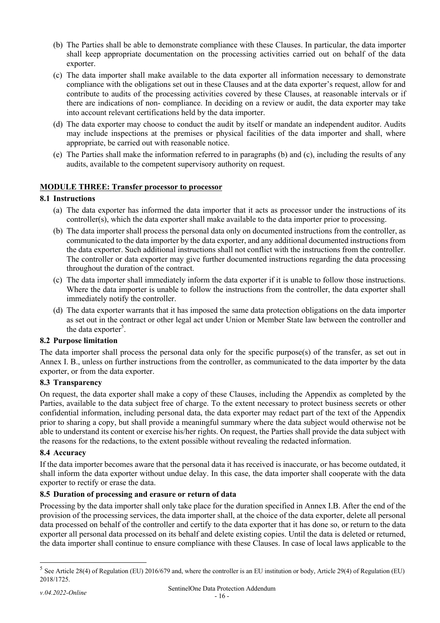- (b) The Parties shall be able to demonstrate compliance with these Clauses. In particular, the data importer shall keep appropriate documentation on the processing activities carried out on behalf of the data exporter.
- (c) The data importer shall make available to the data exporter all information necessary to demonstrate compliance with the obligations set out in these Clauses and at the data exporter's request, allow for and contribute to audits of the processing activities covered by these Clauses, at reasonable intervals or if there are indications of non- compliance. In deciding on a review or audit, the data exporter may take into account relevant certifications held by the data importer.
- (d) The data exporter may choose to conduct the audit by itself or mandate an independent auditor. Audits may include inspections at the premises or physical facilities of the data importer and shall, where appropriate, be carried out with reasonable notice.
- (e) The Parties shall make the information referred to in paragraphs (b) and (c), including the results of any audits, available to the competent supervisory authority on request.

# **MODULE THREE: Transfer processor to processor**

# **8.1 Instructions**

- (a) The data exporter has informed the data importer that it acts as processor under the instructions of its controller(s), which the data exporter shall make available to the data importer prior to processing.
- (b) The data importer shall process the personal data only on documented instructions from the controller, as communicated to the data importer by the data exporter, and any additional documented instructions from the data exporter. Such additional instructions shall not conflict with the instructions from the controller. The controller or data exporter may give further documented instructions regarding the data processing throughout the duration of the contract.
- (c) The data importer shall immediately inform the data exporter if it is unable to follow those instructions. Where the data importer is unable to follow the instructions from the controller, the data exporter shall immediately notify the controller.
- (d) The data exporter warrants that it has imposed the same data protection obligations on the data importer as set out in the contract or other legal act under Union or Member State law between the controller and the data exporter<sup>5</sup>.

# **8.2 Purpose limitation**

The data importer shall process the personal data only for the specific purpose(s) of the transfer, as set out in Annex I. B., unless on further instructions from the controller, as communicated to the data importer by the data exporter, or from the data exporter.

# **8.3 Transparency**

On request, the data exporter shall make a copy of these Clauses, including the Appendix as completed by the Parties, available to the data subject free of charge. To the extent necessary to protect business secrets or other confidential information, including personal data, the data exporter may redact part of the text of the Appendix prior to sharing a copy, but shall provide a meaningful summary where the data subject would otherwise not be able to understand its content or exercise his/her rights. On request, the Parties shall provide the data subject with the reasons for the redactions, to the extent possible without revealing the redacted information.

# **8.4 Accuracy**

If the data importer becomes aware that the personal data it has received is inaccurate, or has become outdated, it shall inform the data exporter without undue delay. In this case, the data importer shall cooperate with the data exporter to rectify or erase the data.

# **8.5 Duration of processing and erasure or return of data**

Processing by the data importer shall only take place for the duration specified in Annex I.B. After the end of the provision of the processing services, the data importer shall, at the choice of the data exporter, delete all personal data processed on behalf of the controller and certify to the data exporter that it has done so, or return to the data exporter all personal data processed on its behalf and delete existing copies. Until the data is deleted or returned, the data importer shall continue to ensure compliance with these Clauses. In case of local laws applicable to the

<sup>5</sup> See Article 28(4) of Regulation (EU) 2016/679 and, where the controller is an EU institution or body, Article 29(4) of Regulation (EU) 2018/1725.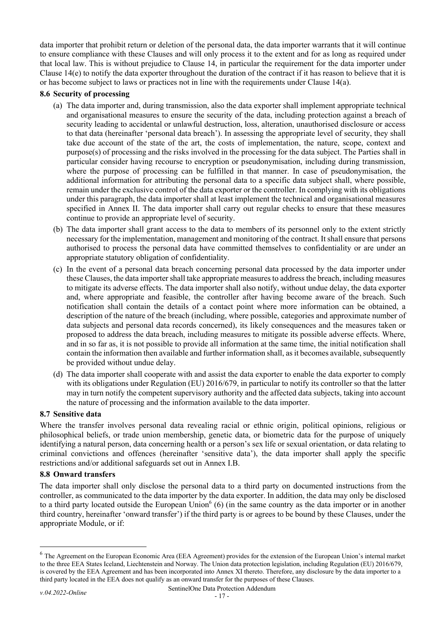data importer that prohibit return or deletion of the personal data, the data importer warrants that it will continue to ensure compliance with these Clauses and will only process it to the extent and for as long as required under that local law. This is without prejudice to Clause 14, in particular the requirement for the data importer under Clause 14(e) to notify the data exporter throughout the duration of the contract if it has reason to believe that it is or has become subject to laws or practices not in line with the requirements under Clause 14(a).

### **8.6 Security of processing**

- (a) The data importer and, during transmission, also the data exporter shall implement appropriate technical and organisational measures to ensure the security of the data, including protection against a breach of security leading to accidental or unlawful destruction, loss, alteration, unauthorised disclosure or access to that data (hereinafter 'personal data breach'). In assessing the appropriate level of security, they shall take due account of the state of the art, the costs of implementation, the nature, scope, context and purpose(s) of processing and the risks involved in the processing for the data subject. The Parties shall in particular consider having recourse to encryption or pseudonymisation, including during transmission, where the purpose of processing can be fulfilled in that manner. In case of pseudonymisation, the additional information for attributing the personal data to a specific data subject shall, where possible, remain under the exclusive control of the data exporter or the controller. In complying with its obligations under this paragraph, the data importer shall at least implement the technical and organisational measures specified in Annex II. The data importer shall carry out regular checks to ensure that these measures continue to provide an appropriate level of security.
- (b) The data importer shall grant access to the data to members of its personnel only to the extent strictly necessary for the implementation, management and monitoring of the contract. It shall ensure that persons authorised to process the personal data have committed themselves to confidentiality or are under an appropriate statutory obligation of confidentiality.
- (c) In the event of a personal data breach concerning personal data processed by the data importer under these Clauses, the data importer shall take appropriate measures to address the breach, including measures to mitigate its adverse effects. The data importer shall also notify, without undue delay, the data exporter and, where appropriate and feasible, the controller after having become aware of the breach. Such notification shall contain the details of a contact point where more information can be obtained, a description of the nature of the breach (including, where possible, categories and approximate number of data subjects and personal data records concerned), its likely consequences and the measures taken or proposed to address the data breach, including measures to mitigate its possible adverse effects. Where, and in so far as, it is not possible to provide all information at the same time, the initial notification shall contain the information then available and further information shall, as it becomes available, subsequently be provided without undue delay.
- (d) The data importer shall cooperate with and assist the data exporter to enable the data exporter to comply with its obligations under Regulation (EU) 2016/679, in particular to notify its controller so that the latter may in turn notify the competent supervisory authority and the affected data subjects, taking into account the nature of processing and the information available to the data importer.

# **8.7 Sensitive data**

Where the transfer involves personal data revealing racial or ethnic origin, political opinions, religious or philosophical beliefs, or trade union membership, genetic data, or biometric data for the purpose of uniquely identifying a natural person, data concerning health or a person's sex life or sexual orientation, or data relating to criminal convictions and offences (hereinafter 'sensitive data'), the data importer shall apply the specific restrictions and/or additional safeguards set out in Annex I.B.

#### **8.8 Onward transfers**

The data importer shall only disclose the personal data to a third party on documented instructions from the controller, as communicated to the data importer by the data exporter. In addition, the data may only be disclosed to a third party located outside the European Union<sup>6</sup> (6) (in the same country as the data importer or in another third country, hereinafter 'onward transfer') if the third party is or agrees to be bound by these Clauses, under the appropriate Module, or if:

<sup>&</sup>lt;sup>6</sup> The Agreement on the European Economic Area (EEA Agreement) provides for the extension of the European Union's internal market to the three EEA States Iceland, Liechtenstein and Norway. The Union data protection legislation, including Regulation (EU) 2016/679, is covered by the EEA Agreement and has been incorporated into Annex XI thereto. Therefore, any disclosure by the data importer to a third party located in the EEA does not qualify as an onward transfer for the purposes of these Clauses.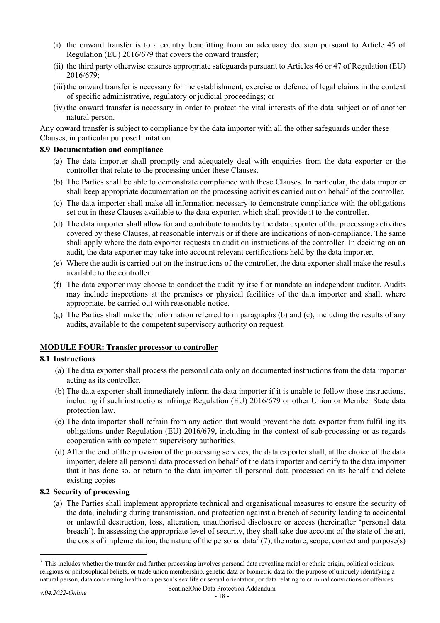- (i) the onward transfer is to a country benefitting from an adequacy decision pursuant to Article 45 of Regulation (EU) 2016/679 that covers the onward transfer;
- (ii) the third party otherwise ensures appropriate safeguards pursuant to Articles 46 or 47 of Regulation (EU) 2016/679;
- (iii)the onward transfer is necessary for the establishment, exercise or defence of legal claims in the context of specific administrative, regulatory or judicial proceedings; or
- (iv) the onward transfer is necessary in order to protect the vital interests of the data subject or of another natural person.

Any onward transfer is subject to compliance by the data importer with all the other safeguards under these Clauses, in particular purpose limitation.

### **8.9 Documentation and compliance**

- (a) The data importer shall promptly and adequately deal with enquiries from the data exporter or the controller that relate to the processing under these Clauses.
- (b) The Parties shall be able to demonstrate compliance with these Clauses. In particular, the data importer shall keep appropriate documentation on the processing activities carried out on behalf of the controller.
- (c) The data importer shall make all information necessary to demonstrate compliance with the obligations set out in these Clauses available to the data exporter, which shall provide it to the controller.
- (d) The data importer shall allow for and contribute to audits by the data exporter of the processing activities covered by these Clauses, at reasonable intervals or if there are indications of non-compliance. The same shall apply where the data exporter requests an audit on instructions of the controller. In deciding on an audit, the data exporter may take into account relevant certifications held by the data importer.
- (e) Where the audit is carried out on the instructions of the controller, the data exporter shall make the results available to the controller.
- (f) The data exporter may choose to conduct the audit by itself or mandate an independent auditor. Audits may include inspections at the premises or physical facilities of the data importer and shall, where appropriate, be carried out with reasonable notice.
- (g) The Parties shall make the information referred to in paragraphs (b) and (c), including the results of any audits, available to the competent supervisory authority on request.

# **MODULE FOUR: Transfer processor to controller**

#### **8.1 Instructions**

- (a) The data exporter shall process the personal data only on documented instructions from the data importer acting as its controller.
- (b) The data exporter shall immediately inform the data importer if it is unable to follow those instructions, including if such instructions infringe Regulation (EU) 2016/679 or other Union or Member State data protection law.
- (c) The data importer shall refrain from any action that would prevent the data exporter from fulfilling its obligations under Regulation (EU) 2016/679, including in the context of sub-processing or as regards cooperation with competent supervisory authorities.
- (d) After the end of the provision of the processing services, the data exporter shall, at the choice of the data importer, delete all personal data processed on behalf of the data importer and certify to the data importer that it has done so, or return to the data importer all personal data processed on its behalf and delete existing copies

# **8.2 Security of processing**

(a) The Parties shall implement appropriate technical and organisational measures to ensure the security of the data, including during transmission, and protection against a breach of security leading to accidental or unlawful destruction, loss, alteration, unauthorised disclosure or access (hereinafter 'personal data breach'). In assessing the appropriate level of security, they shall take due account of the state of the art, the costs of implementation, the nature of the personal data<sup>7</sup> (7), the nature, scope, context and purpose(s)

 $<sup>7</sup>$  This includes whether the transfer and further processing involves personal data revealing racial or ethnic origin, political opinions,</sup> religious or philosophical beliefs, or trade union membership, genetic data or biometric data for the purpose of uniquely identifying a natural person, data concerning health or a person's sex life or sexual orientation, or data relating to criminal convictions or offences.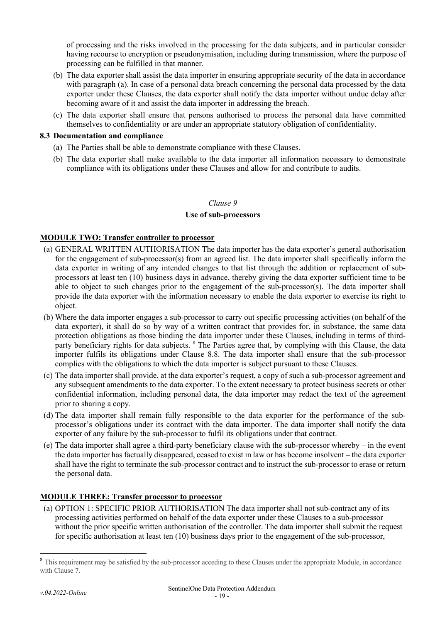of processing and the risks involved in the processing for the data subjects, and in particular consider having recourse to encryption or pseudonymisation, including during transmission, where the purpose of processing can be fulfilled in that manner.

- (b) The data exporter shall assist the data importer in ensuring appropriate security of the data in accordance with paragraph (a). In case of a personal data breach concerning the personal data processed by the data exporter under these Clauses, the data exporter shall notify the data importer without undue delay after becoming aware of it and assist the data importer in addressing the breach.
- (c) The data exporter shall ensure that persons authorised to process the personal data have committed themselves to confidentiality or are under an appropriate statutory obligation of confidentiality.

# **8.3 Documentation and compliance**

- (a) The Parties shall be able to demonstrate compliance with these Clauses.
- (b) The data exporter shall make available to the data importer all information necessary to demonstrate compliance with its obligations under these Clauses and allow for and contribute to audits.

#### *Clause 9*

#### **Use of sub-processors**

# **MODULE TWO: Transfer controller to processor**

- (a) GENERAL WRITTEN AUTHORISATION The data importer has the data exporter's general authorisation for the engagement of sub-processor(s) from an agreed list. The data importer shall specifically inform the data exporter in writing of any intended changes to that list through the addition or replacement of subprocessors at least ten (10) business days in advance, thereby giving the data exporter sufficient time to be able to object to such changes prior to the engagement of the sub-processor(s). The data importer shall provide the data exporter with the information necessary to enable the data exporter to exercise its right to object.
- (b) Where the data importer engages a sub-processor to carry out specific processing activities (on behalf of the data exporter), it shall do so by way of a written contract that provides for, in substance, the same data protection obligations as those binding the data importer under these Clauses, including in terms of thirdparty beneficiary rights for data subjects. <sup>8</sup> The Parties agree that, by complying with this Clause, the data importer fulfils its obligations under Clause 8.8. The data importer shall ensure that the sub-processor complies with the obligations to which the data importer is subject pursuant to these Clauses.
- (c) The data importer shall provide, at the data exporter's request, a copy of such a sub-processor agreement and any subsequent amendments to the data exporter. To the extent necessary to protect business secrets or other confidential information, including personal data, the data importer may redact the text of the agreement prior to sharing a copy.
- (d) The data importer shall remain fully responsible to the data exporter for the performance of the subprocessor's obligations under its contract with the data importer. The data importer shall notify the data exporter of any failure by the sub-processor to fulfil its obligations under that contract.
- (e) The data importer shall agree a third-party beneficiary clause with the sub-processor whereby in the event the data importer has factually disappeared, ceased to exist in law or has become insolvent – the data exporter shall have the right to terminate the sub-processor contract and to instruct the sub-processor to erase or return the personal data.

# **MODULE THREE: Transfer processor to processor**

(a) OPTION 1: SPECIFIC PRIOR AUTHORISATION The data importer shall not sub-contract any of its processing activities performed on behalf of the data exporter under these Clauses to a sub-processor without the prior specific written authorisation of the controller. The data importer shall submit the request for specific authorisation at least ten (10) business days prior to the engagement of the sub-processor,

<sup>&</sup>lt;sup>8</sup> This requirement may be satisfied by the sub-processor acceding to these Clauses under the appropriate Module, in accordance with Clause 7.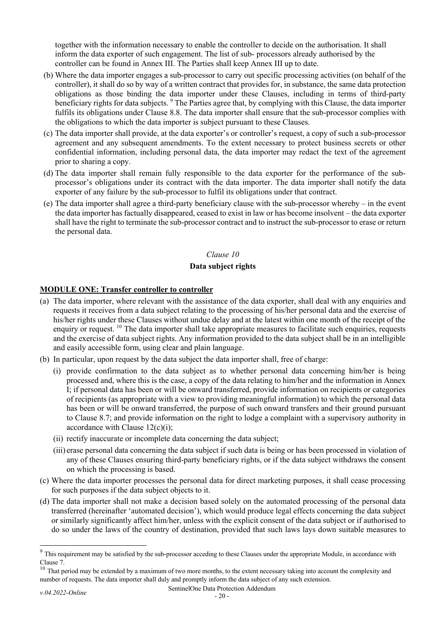together with the information necessary to enable the controller to decide on the authorisation. It shall inform the data exporter of such engagement. The list of sub- processors already authorised by the controller can be found in Annex III. The Parties shall keep Annex III up to date.

- (b) Where the data importer engages a sub-processor to carry out specific processing activities (on behalf of the controller), it shall do so by way of a written contract that provides for, in substance, the same data protection obligations as those binding the data importer under these Clauses, including in terms of third-party beneficiary rights for data subjects. <sup>9</sup> The Parties agree that, by complying with this Clause, the data importer fulfils its obligations under Clause 8.8. The data importer shall ensure that the sub-processor complies with the obligations to which the data importer is subject pursuant to these Clauses.
- (c) The data importer shall provide, at the data exporter's or controller's request, a copy of such a sub-processor agreement and any subsequent amendments. To the extent necessary to protect business secrets or other confidential information, including personal data, the data importer may redact the text of the agreement prior to sharing a copy.
- (d) The data importer shall remain fully responsible to the data exporter for the performance of the subprocessor's obligations under its contract with the data importer. The data importer shall notify the data exporter of any failure by the sub-processor to fulfil its obligations under that contract.
- (e) The data importer shall agree a third-party beneficiary clause with the sub-processor whereby in the event the data importer has factually disappeared, ceased to exist in law or has become insolvent – the data exporter shall have the right to terminate the sub-processor contract and to instruct the sub-processor to erase or return the personal data.

### *Clause 10*

# **Data subject rights**

# **MODULE ONE: Transfer controller to controller**

- (a) The data importer, where relevant with the assistance of the data exporter, shall deal with any enquiries and requests it receives from a data subject relating to the processing of his/her personal data and the exercise of his/her rights under these Clauses without undue delay and at the latest within one month of the receipt of the enquiry or request. <sup>10</sup> The data importer shall take appropriate measures to facilitate such enquiries, requests and the exercise of data subject rights. Any information provided to the data subject shall be in an intelligible and easily accessible form, using clear and plain language.
- (b) In particular, upon request by the data subject the data importer shall, free of charge:
	- (i) provide confirmation to the data subject as to whether personal data concerning him/her is being processed and, where this is the case, a copy of the data relating to him/her and the information in Annex I; if personal data has been or will be onward transferred, provide information on recipients or categories of recipients (as appropriate with a view to providing meaningful information) to which the personal data has been or will be onward transferred, the purpose of such onward transfers and their ground pursuant to Clause 8.7; and provide information on the right to lodge a complaint with a supervisory authority in accordance with Clause  $12(c)(i)$ ;
	- (ii) rectify inaccurate or incomplete data concerning the data subject;
	- (iii) erase personal data concerning the data subject if such data is being or has been processed in violation of any of these Clauses ensuring third-party beneficiary rights, or if the data subject withdraws the consent on which the processing is based.
- (c) Where the data importer processes the personal data for direct marketing purposes, it shall cease processing for such purposes if the data subject objects to it.
- (d) The data importer shall not make a decision based solely on the automated processing of the personal data transferred (hereinafter 'automated decision'), which would produce legal effects concerning the data subject or similarly significantly affect him/her, unless with the explicit consent of the data subject or if authorised to do so under the laws of the country of destination, provided that such laws lays down suitable measures to

<sup>&</sup>lt;sup>9</sup> This requirement may be satisfied by the sub-processor acceding to these Clauses under the appropriate Module, in accordance with Clause 7.

 $10$  That period may be extended by a maximum of two more months, to the extent necessary taking into account the complexity and number of requests. The data importer shall duly and promptly inform the data subject of any such extension.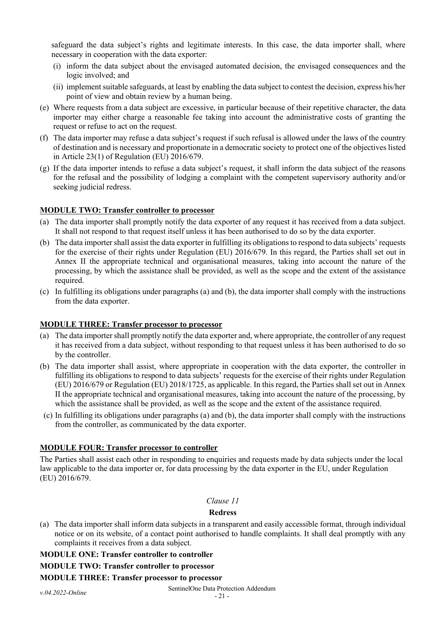safeguard the data subject's rights and legitimate interests. In this case, the data importer shall, where necessary in cooperation with the data exporter:

- (i) inform the data subject about the envisaged automated decision, the envisaged consequences and the logic involved; and
- (ii) implement suitable safeguards, at least by enabling the data subject to contest the decision, express his/her point of view and obtain review by a human being.
- (e) Where requests from a data subject are excessive, in particular because of their repetitive character, the data importer may either charge a reasonable fee taking into account the administrative costs of granting the request or refuse to act on the request.
- (f) The data importer may refuse a data subject's request if such refusal is allowed under the laws of the country of destination and is necessary and proportionate in a democratic society to protect one of the objectives listed in Article 23(1) of Regulation (EU) 2016/679.
- (g) If the data importer intends to refuse a data subject's request, it shall inform the data subject of the reasons for the refusal and the possibility of lodging a complaint with the competent supervisory authority and/or seeking judicial redress.

### **MODULE TWO: Transfer controller to processor**

- (a) The data importer shall promptly notify the data exporter of any request it has received from a data subject. It shall not respond to that request itself unless it has been authorised to do so by the data exporter.
- (b) The data importer shall assist the data exporter in fulfilling its obligations to respond to data subjects' requests for the exercise of their rights under Regulation (EU) 2016/679. In this regard, the Parties shall set out in Annex II the appropriate technical and organisational measures, taking into account the nature of the processing, by which the assistance shall be provided, as well as the scope and the extent of the assistance required.
- (c) In fulfilling its obligations under paragraphs (a) and (b), the data importer shall comply with the instructions from the data exporter.

#### **MODULE THREE: Transfer processor to processor**

- (a) The data importer shall promptly notify the data exporter and, where appropriate, the controller of any request it has received from a data subject, without responding to that request unless it has been authorised to do so by the controller.
- (b) The data importer shall assist, where appropriate in cooperation with the data exporter, the controller in fulfilling its obligations to respond to data subjects' requests for the exercise of their rights under Regulation (EU) 2016/679 or Regulation (EU) 2018/1725, as applicable. In this regard, the Parties shall set out in Annex II the appropriate technical and organisational measures, taking into account the nature of the processing, by which the assistance shall be provided, as well as the scope and the extent of the assistance required.
- (c) In fulfilling its obligations under paragraphs (a) and (b), the data importer shall comply with the instructions from the controller, as communicated by the data exporter.

#### **MODULE FOUR: Transfer processor to controller**

The Parties shall assist each other in responding to enquiries and requests made by data subjects under the local law applicable to the data importer or, for data processing by the data exporter in the EU, under Regulation (EU) 2016/679.

#### *Clause 11*

#### **Redress**

(a) The data importer shall inform data subjects in a transparent and easily accessible format, through individual notice or on its website, of a contact point authorised to handle complaints. It shall deal promptly with any complaints it receives from a data subject.

**MODULE ONE: Transfer controller to controller** 

**MODULE TWO: Transfer controller to processor** 

#### **MODULE THREE: Transfer processor to processor**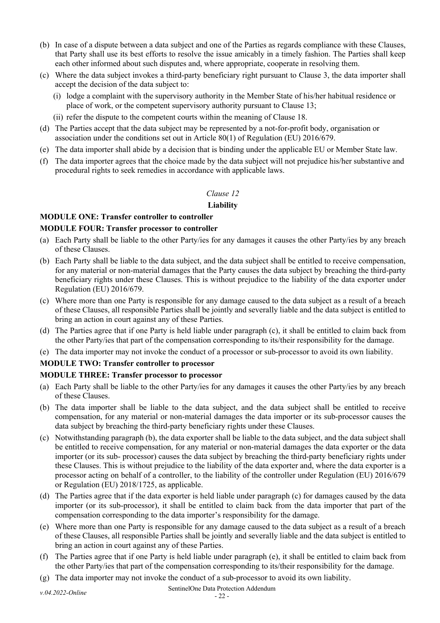- (b) In case of a dispute between a data subject and one of the Parties as regards compliance with these Clauses, that Party shall use its best efforts to resolve the issue amicably in a timely fashion. The Parties shall keep each other informed about such disputes and, where appropriate, cooperate in resolving them.
- (c) Where the data subject invokes a third-party beneficiary right pursuant to Clause 3, the data importer shall accept the decision of the data subject to:
	- (i) lodge a complaint with the supervisory authority in the Member State of his/her habitual residence or place of work, or the competent supervisory authority pursuant to Clause 13;
	- (ii) refer the dispute to the competent courts within the meaning of Clause 18.
- (d) The Parties accept that the data subject may be represented by a not-for-profit body, organisation or association under the conditions set out in Article 80(1) of Regulation (EU) 2016/679.
- (e) The data importer shall abide by a decision that is binding under the applicable EU or Member State law.
- (f) The data importer agrees that the choice made by the data subject will not prejudice his/her substantive and procedural rights to seek remedies in accordance with applicable laws.

### **Liability**

# **MODULE ONE: Transfer controller to controller**

### **MODULE FOUR: Transfer processor to controller**

- (a) Each Party shall be liable to the other Party/ies for any damages it causes the other Party/ies by any breach of these Clauses.
- (b) Each Party shall be liable to the data subject, and the data subject shall be entitled to receive compensation, for any material or non-material damages that the Party causes the data subject by breaching the third-party beneficiary rights under these Clauses. This is without prejudice to the liability of the data exporter under Regulation (EU) 2016/679.
- (c) Where more than one Party is responsible for any damage caused to the data subject as a result of a breach of these Clauses, all responsible Parties shall be jointly and severally liable and the data subject is entitled to bring an action in court against any of these Parties.
- (d) The Parties agree that if one Party is held liable under paragraph (c), it shall be entitled to claim back from the other Party/ies that part of the compensation corresponding to its/their responsibility for the damage.
- (e) The data importer may not invoke the conduct of a processor or sub-processor to avoid its own liability.

# **MODULE TWO: Transfer controller to processor**

# **MODULE THREE: Transfer processor to processor**

- (a) Each Party shall be liable to the other Party/ies for any damages it causes the other Party/ies by any breach of these Clauses.
- (b) The data importer shall be liable to the data subject, and the data subject shall be entitled to receive compensation, for any material or non-material damages the data importer or its sub-processor causes the data subject by breaching the third-party beneficiary rights under these Clauses.
- (c) Notwithstanding paragraph (b), the data exporter shall be liable to the data subject, and the data subject shall be entitled to receive compensation, for any material or non-material damages the data exporter or the data importer (or its sub- processor) causes the data subject by breaching the third-party beneficiary rights under these Clauses. This is without prejudice to the liability of the data exporter and, where the data exporter is a processor acting on behalf of a controller, to the liability of the controller under Regulation (EU) 2016/679 or Regulation (EU) 2018/1725, as applicable.
- (d) The Parties agree that if the data exporter is held liable under paragraph (c) for damages caused by the data importer (or its sub-processor), it shall be entitled to claim back from the data importer that part of the compensation corresponding to the data importer's responsibility for the damage.
- (e) Where more than one Party is responsible for any damage caused to the data subject as a result of a breach of these Clauses, all responsible Parties shall be jointly and severally liable and the data subject is entitled to bring an action in court against any of these Parties.
- (f) The Parties agree that if one Party is held liable under paragraph (e), it shall be entitled to claim back from the other Party/ies that part of the compensation corresponding to its/their responsibility for the damage.
- (g) The data importer may not invoke the conduct of a sub-processor to avoid its own liability.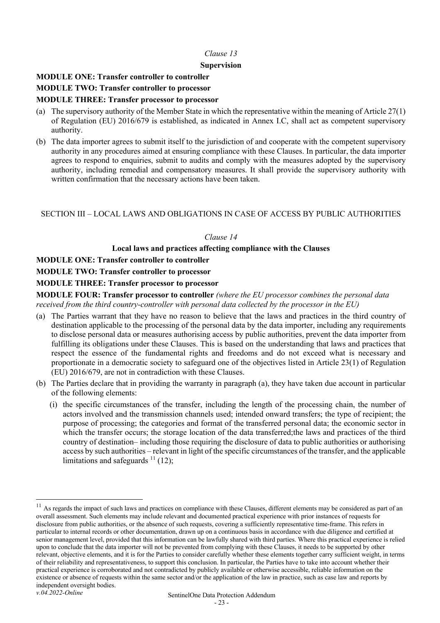### **Supervision**

# **MODULE ONE: Transfer controller to controller**

# **MODULE TWO: Transfer controller to processor**

### **MODULE THREE: Transfer processor to processor**

- (a) The supervisory authority of the Member State in which the representative within the meaning of Article 27(1) of Regulation (EU) 2016/679 is established, as indicated in Annex I.C, shall act as competent supervisory authority.
- (b) The data importer agrees to submit itself to the jurisdiction of and cooperate with the competent supervisory authority in any procedures aimed at ensuring compliance with these Clauses. In particular, the data importer agrees to respond to enquiries, submit to audits and comply with the measures adopted by the supervisory authority, including remedial and compensatory measures. It shall provide the supervisory authority with written confirmation that the necessary actions have been taken.

# SECTION III – LOCAL LAWS AND OBLIGATIONS IN CASE OF ACCESS BY PUBLIC AUTHORITIES

### *Clause 14*

# **Local laws and practices affecting compliance with the Clauses**

# **MODULE ONE: Transfer controller to controller**

# **MODULE TWO: Transfer controller to processor**

# **MODULE THREE: Transfer processor to processor**

**MODULE FOUR: Transfer processor to controller** *(where the EU processor combines the personal data received from the third country-controller with personal data collected by the processor in the EU)*

- (a) The Parties warrant that they have no reason to believe that the laws and practices in the third country of destination applicable to the processing of the personal data by the data importer, including any requirements to disclose personal data or measures authorising access by public authorities, prevent the data importer from fulfilling its obligations under these Clauses. This is based on the understanding that laws and practices that respect the essence of the fundamental rights and freedoms and do not exceed what is necessary and proportionate in a democratic society to safeguard one of the objectives listed in Article 23(1) of Regulation (EU) 2016/679, are not in contradiction with these Clauses.
- (b) The Parties declare that in providing the warranty in paragraph (a), they have taken due account in particular of the following elements:
	- (i) the specific circumstances of the transfer, including the length of the processing chain, the number of actors involved and the transmission channels used; intended onward transfers; the type of recipient; the purpose of processing; the categories and format of the transferred personal data; the economic sector in which the transfer occurs; the storage location of the data transferred;the laws and practices of the third country of destination– including those requiring the disclosure of data to public authorities or authorising access by such authorities – relevant in light of the specific circumstances of the transfer, and the applicable limitations and safeguards  $11$  (12);

<sup>&</sup>lt;sup>11</sup> As regards the impact of such laws and practices on compliance with these Clauses, different elements may be considered as part of an overall assessment. Such elements may include relevant and documented practical experience with prior instances of requests for disclosure from public authorities, or the absence of such requests, covering a sufficiently representative time-frame. This refers in particular to internal records or other documentation, drawn up on a continuous basis in accordance with due diligence and certified at senior management level, provided that this information can be lawfully shared with third parties. Where this practical experience is relied upon to conclude that the data importer will not be prevented from complying with these Clauses, it needs to be supported by other relevant, objective elements, and it is for the Parties to consider carefully whether these elements together carry sufficient weight, in terms of their reliability and representativeness, to support this conclusion. In particular, the Parties have to take into account whether their practical experience is corroborated and not contradicted by publicly available or otherwise accessible, reliable information on the existence or absence of requests within the same sector and/or the application of the law in practice, such as case law and reports by independent oversight bodies.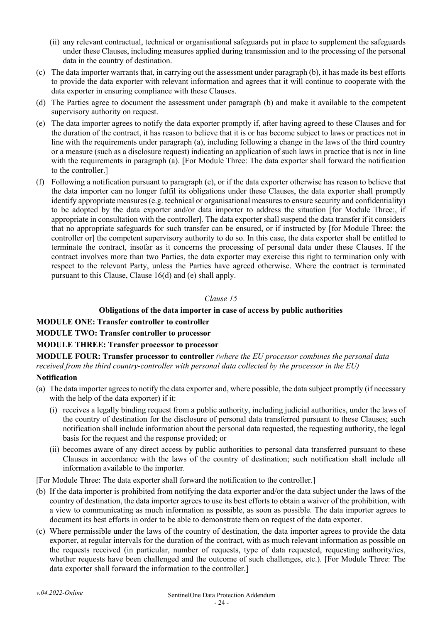- (ii) any relevant contractual, technical or organisational safeguards put in place to supplement the safeguards under these Clauses, including measures applied during transmission and to the processing of the personal data in the country of destination.
- (c) The data importer warrants that, in carrying out the assessment under paragraph (b), it has made its best efforts to provide the data exporter with relevant information and agrees that it will continue to cooperate with the data exporter in ensuring compliance with these Clauses.
- (d) The Parties agree to document the assessment under paragraph (b) and make it available to the competent supervisory authority on request.
- (e) The data importer agrees to notify the data exporter promptly if, after having agreed to these Clauses and for the duration of the contract, it has reason to believe that it is or has become subject to laws or practices not in line with the requirements under paragraph (a), including following a change in the laws of the third country or a measure (such as a disclosure request) indicating an application of such laws in practice that is not in line with the requirements in paragraph (a). [For Module Three: The data exporter shall forward the notification to the controller.]
- (f) Following a notification pursuant to paragraph (e), or if the data exporter otherwise has reason to believe that the data importer can no longer fulfil its obligations under these Clauses, the data exporter shall promptly identify appropriate measures (e.g. technical or organisational measures to ensure security and confidentiality) to be adopted by the data exporter and/or data importer to address the situation [for Module Three:, if appropriate in consultation with the controller]. The data exporter shall suspend the data transfer if it considers that no appropriate safeguards for such transfer can be ensured, or if instructed by [for Module Three: the controller or] the competent supervisory authority to do so. In this case, the data exporter shall be entitled to terminate the contract, insofar as it concerns the processing of personal data under these Clauses. If the contract involves more than two Parties, the data exporter may exercise this right to termination only with respect to the relevant Party, unless the Parties have agreed otherwise. Where the contract is terminated pursuant to this Clause, Clause 16(d) and (e) shall apply.

### **Obligations of the data importer in case of access by public authorities**

# **MODULE ONE: Transfer controller to controller**

# **MODULE TWO: Transfer controller to processor**

# **MODULE THREE: Transfer processor to processor**

**MODULE FOUR: Transfer processor to controller** *(where the EU processor combines the personal data received from the third country-controller with personal data collected by the processor in the EU)*

#### **Notification**

- (a) The data importer agrees to notify the data exporter and, where possible, the data subject promptly (if necessary with the help of the data exporter) if it:
	- (i) receives a legally binding request from a public authority, including judicial authorities, under the laws of the country of destination for the disclosure of personal data transferred pursuant to these Clauses; such notification shall include information about the personal data requested, the requesting authority, the legal basis for the request and the response provided; or
	- (ii) becomes aware of any direct access by public authorities to personal data transferred pursuant to these Clauses in accordance with the laws of the country of destination; such notification shall include all information available to the importer.
- [For Module Three: The data exporter shall forward the notification to the controller.]
- (b) If the data importer is prohibited from notifying the data exporter and/or the data subject under the laws of the country of destination, the data importer agrees to use its best efforts to obtain a waiver of the prohibition, with a view to communicating as much information as possible, as soon as possible. The data importer agrees to document its best efforts in order to be able to demonstrate them on request of the data exporter.
- (c) Where permissible under the laws of the country of destination, the data importer agrees to provide the data exporter, at regular intervals for the duration of the contract, with as much relevant information as possible on the requests received (in particular, number of requests, type of data requested, requesting authority/ies, whether requests have been challenged and the outcome of such challenges, etc.). [For Module Three: The data exporter shall forward the information to the controller.]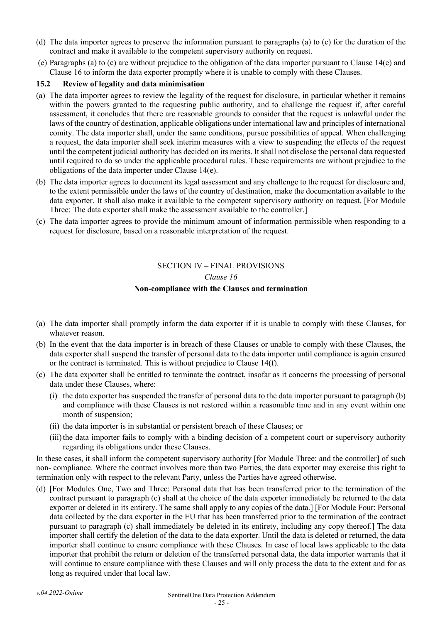- (d) The data importer agrees to preserve the information pursuant to paragraphs (a) to (c) for the duration of the contract and make it available to the competent supervisory authority on request.
- (e) Paragraphs (a) to (c) are without prejudice to the obligation of the data importer pursuant to Clause 14(e) and Clause 16 to inform the data exporter promptly where it is unable to comply with these Clauses.

### **15.2 Review of legality and data minimisation**

- (a) The data importer agrees to review the legality of the request for disclosure, in particular whether it remains within the powers granted to the requesting public authority, and to challenge the request if, after careful assessment, it concludes that there are reasonable grounds to consider that the request is unlawful under the laws of the country of destination, applicable obligations under international law and principles of international comity. The data importer shall, under the same conditions, pursue possibilities of appeal. When challenging a request, the data importer shall seek interim measures with a view to suspending the effects of the request until the competent judicial authority has decided on its merits. It shall not disclose the personal data requested until required to do so under the applicable procedural rules. These requirements are without prejudice to the obligations of the data importer under Clause 14(e).
- (b) The data importer agrees to document its legal assessment and any challenge to the request for disclosure and, to the extent permissible under the laws of the country of destination, make the documentation available to the data exporter. It shall also make it available to the competent supervisory authority on request. [For Module Three: The data exporter shall make the assessment available to the controller.]
- (c) The data importer agrees to provide the minimum amount of information permissible when responding to a request for disclosure, based on a reasonable interpretation of the request.

# SECTION IV – FINAL PROVISIONS *Clause 16* **Non-compliance with the Clauses and termination**

- (a) The data importer shall promptly inform the data exporter if it is unable to comply with these Clauses, for whatever reason.
- (b) In the event that the data importer is in breach of these Clauses or unable to comply with these Clauses, the data exporter shall suspend the transfer of personal data to the data importer until compliance is again ensured or the contract is terminated. This is without prejudice to Clause 14(f).
- (c) The data exporter shall be entitled to terminate the contract, insofar as it concerns the processing of personal data under these Clauses, where:
	- (i) the data exporter has suspended the transfer of personal data to the data importer pursuant to paragraph (b) and compliance with these Clauses is not restored within a reasonable time and in any event within one month of suspension;
	- (ii) the data importer is in substantial or persistent breach of these Clauses; or
	- (iii) the data importer fails to comply with a binding decision of a competent court or supervisory authority regarding its obligations under these Clauses.

In these cases, it shall inform the competent supervisory authority [for Module Three: and the controller] of such non- compliance. Where the contract involves more than two Parties, the data exporter may exercise this right to termination only with respect to the relevant Party, unless the Parties have agreed otherwise.

(d) [For Modules One, Two and Three: Personal data that has been transferred prior to the termination of the contract pursuant to paragraph (c) shall at the choice of the data exporter immediately be returned to the data exporter or deleted in its entirety. The same shall apply to any copies of the data.] [For Module Four: Personal data collected by the data exporter in the EU that has been transferred prior to the termination of the contract pursuant to paragraph (c) shall immediately be deleted in its entirety, including any copy thereof.] The data importer shall certify the deletion of the data to the data exporter. Until the data is deleted or returned, the data importer shall continue to ensure compliance with these Clauses. In case of local laws applicable to the data importer that prohibit the return or deletion of the transferred personal data, the data importer warrants that it will continue to ensure compliance with these Clauses and will only process the data to the extent and for as long as required under that local law.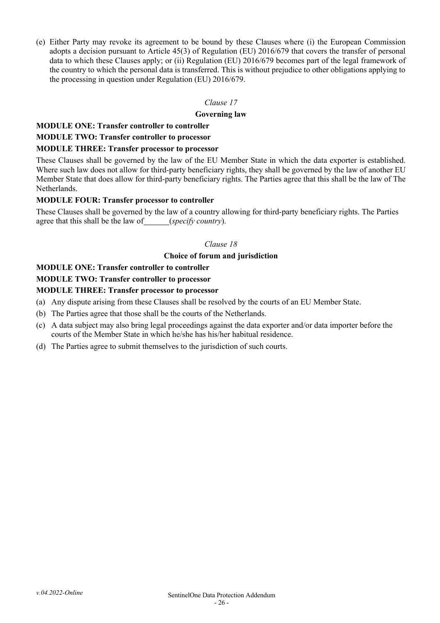(e) Either Party may revoke its agreement to be bound by these Clauses where (i) the European Commission adopts a decision pursuant to Article 45(3) of Regulation (EU) 2016/679 that covers the transfer of personal data to which these Clauses apply; or (ii) Regulation (EU) 2016/679 becomes part of the legal framework of the country to which the personal data is transferred. This is without prejudice to other obligations applying to the processing in question under Regulation (EU) 2016/679.

# *Clause 17*

### **Governing law**

# **MODULE ONE: Transfer controller to controller**

### **MODULE TWO: Transfer controller to processor**

#### **MODULE THREE: Transfer processor to processor**

These Clauses shall be governed by the law of the EU Member State in which the data exporter is established. Where such law does not allow for third-party beneficiary rights, they shall be governed by the law of another EU Member State that does allow for third-party beneficiary rights. The Parties agree that this shall be the law of The Netherlands.

#### **MODULE FOUR: Transfer processor to controller**

These Clauses shall be governed by the law of a country allowing for third-party beneficiary rights. The Parties agree that this shall be the law of *(specify country*).

#### *Clause 18*

### **Choice of forum and jurisdiction**

### **MODULE ONE: Transfer controller to controller**

# **MODULE TWO: Transfer controller to processor**

### **MODULE THREE: Transfer processor to processor**

- (a) Any dispute arising from these Clauses shall be resolved by the courts of an EU Member State.
- (b) The Parties agree that those shall be the courts of the Netherlands.
- (c) A data subject may also bring legal proceedings against the data exporter and/or data importer before the courts of the Member State in which he/she has his/her habitual residence.
- (d) The Parties agree to submit themselves to the jurisdiction of such courts.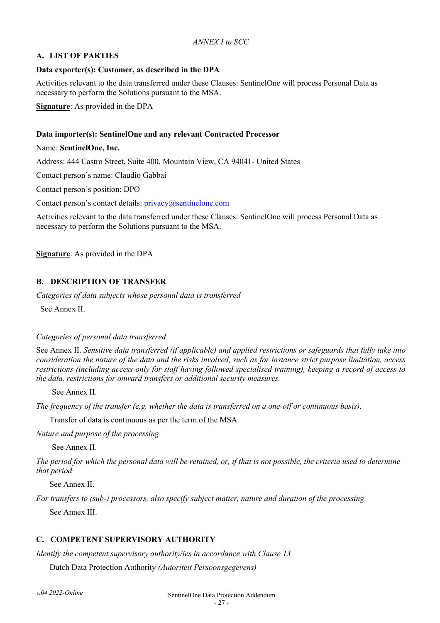# **A. LIST OF PARTIES**

### **Data exporter(s): Customer, as described in the DPA**

Activities relevant to the data transferred under these Clauses: SentinelOne will process Personal Data as necessary to perform the Solutions pursuant to the MSA.

**Signature**: As provided in the DPA

### **Data importer(s): SentinelOne and any relevant Contracted Processor**

Name: **SentinelOne, Inc.**

Address: 444 Castro Street, Suite 400, Mountain View, CA 94041- United States

Contact person's name: Claudio Gabbai

Contact person's position: DPO

Contact person's contact details:  $\frac{\text{privacy}}{\text{@sentinelone.com}}$ 

Activities relevant to the data transferred under these Clauses: SentinelOne will process Personal Data as necessary to perform the Solutions pursuant to the MSA.

**Signature**: As provided in the DPA

# **B. DESCRIPTION OF TRANSFER**

*Categories of data subjects whose personal data is transferred*

See Annex II.

# *Categories of personal data transferred*

See Annex II. *Sensitive data transferred (if applicable) and applied restrictions or safeguards that fully take into consideration the nature of the data and the risks involved, such as for instance strict purpose limitation, access restrictions (including access only for staff having followed specialised training), keeping a record of access to the data, restrictions for onward transfers or additional security measures.*

See Annex II.

*The frequency of the transfer (e.g. whether the data is transferred on a one-off or continuous basis).*

Transfer of data is continuous as per the term of the MSA

*Nature and purpose of the processing*

See Annex II.

*The period for which the personal data will be retained, or, if that is not possible, the criteria used to determine that period*

See Annex II.

*For transfers to (sub-) processors, also specify subject matter, nature and duration of the processing*

See Annex III.

# **C. COMPETENT SUPERVISORY AUTHORITY**

*Identify the competent supervisory authority/ies in accordance with Clause 13*

Dutch Data Protection Authority *(Autoriteit Persoonsgegevens)*